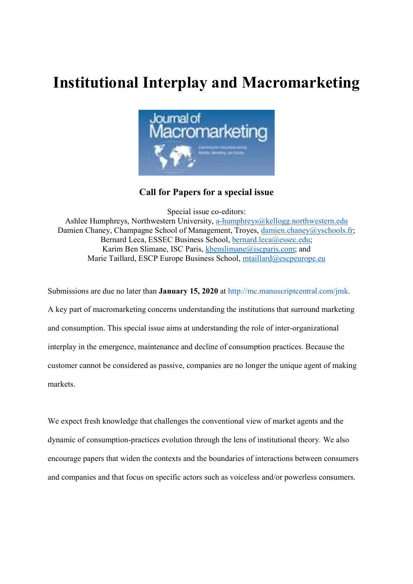## Institutional Interplay and Macromarketing



## Call for Papers for a special issue

Special issue co-editors: Ashlee Humphreys, Northwestern University, a-humphreys@kellogg.northwestern.edu Damien Chaney, Champagne School of Management, Troyes, damien.chaney@yschools.fr; Bernard Leca, ESSEC Business School, bernard.leca@essec.edu; Karim Ben Slimane, ISC Paris, kbenslimane@iscparis.com; and Marie Taillard, ESCP Europe Business School, mtaillard@escpeurope.eu

Submissions are due no later than **January 15, 2020** at http://mc.manuscriptcentral.com/jmk. A key part of macromarketing concerns understanding the institutions that surround marketing and consumption. This special issue aims at understanding the role of inter-organizational interplay in the emergence, maintenance and decline of consumption practices. Because the customer cannot be considered as passive, companies are no longer the unique agent of making markets.

We expect fresh knowledge that challenges the conventional view of market agents and the dynamic of consumption-practices evolution through the lens of institutional theory. We also encourage papers that widen the contexts and the boundaries of interactions between consumers and companies and that focus on specific actors such as voiceless and/or powerless consumers.